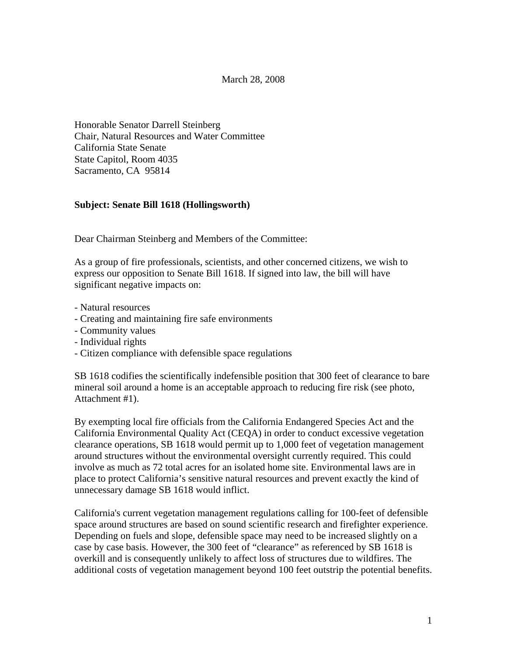#### March 28, 2008

Honorable Senator Darrell Steinberg Chair, Natural Resources and Water Committee California State Senate State Capitol, Room 4035 Sacramento, CA 95814

### **Subject: Senate Bill 1618 (Hollingsworth)**

Dear Chairman Steinberg and Members of the Committee:

As a group of fire professionals, scientists, and other concerned citizens, we wish to express our opposition to Senate Bill 1618. If signed into law, the bill will have significant negative impacts on:

- Natural resources
- Creating and maintaining fire safe environments
- Community values
- Individual rights
- Citizen compliance with defensible space regulations

SB 1618 codifies the scientifically indefensible position that 300 feet of clearance to bare mineral soil around a home is an acceptable approach to reducing fire risk (see photo, Attachment #1).

By exempting local fire officials from the California Endangered Species Act and the California Environmental Quality Act (CEQA) in order to conduct excessive vegetation clearance operations, SB 1618 would permit up to 1,000 feet of vegetation management around structures without the environmental oversight currently required. This could involve as much as 72 total acres for an isolated home site. Environmental laws are in place to protect California's sensitive natural resources and prevent exactly the kind of unnecessary damage SB 1618 would inflict.

California's current vegetation management regulations calling for 100-feet of defensible space around structures are based on sound scientific research and firefighter experience. Depending on fuels and slope, defensible space may need to be increased slightly on a case by case basis. However, the 300 feet of "clearance" as referenced by SB 1618 is overkill and is consequently unlikely to affect loss of structures due to wildfires. The additional costs of vegetation management beyond 100 feet outstrip the potential benefits.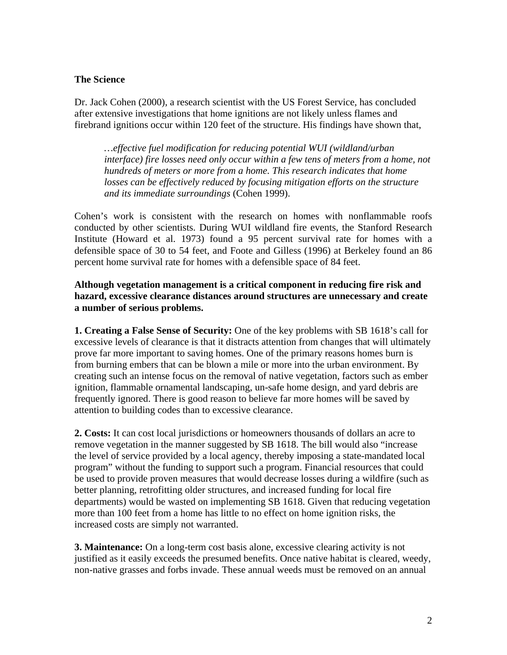## **The Science**

Dr. Jack Cohen (2000), a research scientist with the US Forest Service, has concluded after extensive investigations that home ignitions are not likely unless flames and firebrand ignitions occur within 120 feet of the structure. His findings have shown that,

*…effective fuel modification for reducing potential WUI (wildland/urban interface) fire losses need only occur within a few tens of meters from a home, not hundreds of meters or more from a home. This research indicates that home losses can be effectively reduced by focusing mitigation efforts on the structure and its immediate surroundings* (Cohen 1999).

Cohen's work is consistent with the research on homes with nonflammable roofs conducted by other scientists. During WUI wildland fire events, the Stanford Research Institute (Howard et al. 1973) found a 95 percent survival rate for homes with a defensible space of 30 to 54 feet, and Foote and Gilless (1996) at Berkeley found an 86 percent home survival rate for homes with a defensible space of 84 feet.

# **Although vegetation management is a critical component in reducing fire risk and hazard, excessive clearance distances around structures are unnecessary and create a number of serious problems.**

**1. Creating a False Sense of Security:** One of the key problems with SB 1618's call for excessive levels of clearance is that it distracts attention from changes that will ultimately prove far more important to saving homes. One of the primary reasons homes burn is from burning embers that can be blown a mile or more into the urban environment. By creating such an intense focus on the removal of native vegetation, factors such as ember ignition, flammable ornamental landscaping, un-safe home design, and yard debris are frequently ignored. There is good reason to believe far more homes will be saved by attention to building codes than to excessive clearance.

**2. Costs:** It can cost local jurisdictions or homeowners thousands of dollars an acre to remove vegetation in the manner suggested by SB 1618. The bill would also "increase the level of service provided by a local agency, thereby imposing a state-mandated local program" without the funding to support such a program. Financial resources that could be used to provide proven measures that would decrease losses during a wildfire (such as better planning, retrofitting older structures, and increased funding for local fire departments) would be wasted on implementing SB 1618. Given that reducing vegetation more than 100 feet from a home has little to no effect on home ignition risks, the increased costs are simply not warranted.

**3. Maintenance:** On a long-term cost basis alone, excessive clearing activity is not justified as it easily exceeds the presumed benefits. Once native habitat is cleared, weedy, non-native grasses and forbs invade. These annual weeds must be removed on an annual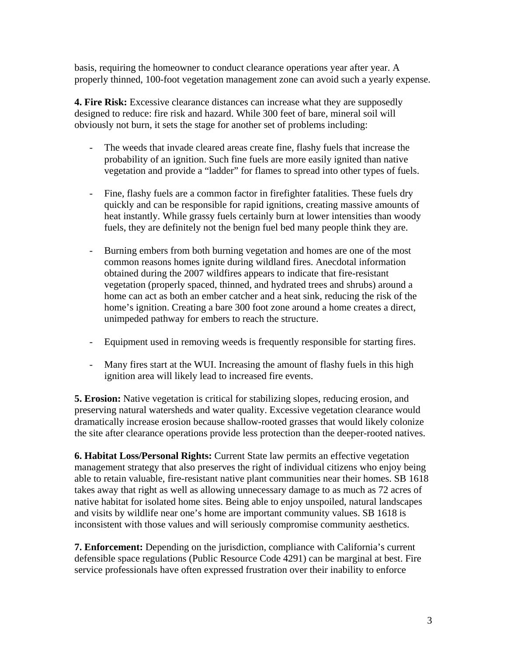basis, requiring the homeowner to conduct clearance operations year after year. A properly thinned, 100-foot vegetation management zone can avoid such a yearly expense.

**4. Fire Risk:** Excessive clearance distances can increase what they are supposedly designed to reduce: fire risk and hazard. While 300 feet of bare, mineral soil will obviously not burn, it sets the stage for another set of problems including:

- The weeds that invade cleared areas create fine, flashy fuels that increase the probability of an ignition. Such fine fuels are more easily ignited than native vegetation and provide a "ladder" for flames to spread into other types of fuels.
- Fine, flashy fuels are a common factor in firefighter fatalities. These fuels dry quickly and can be responsible for rapid ignitions, creating massive amounts of heat instantly. While grassy fuels certainly burn at lower intensities than woody fuels, they are definitely not the benign fuel bed many people think they are.
- Burning embers from both burning vegetation and homes are one of the most common reasons homes ignite during wildland fires. Anecdotal information obtained during the 2007 wildfires appears to indicate that fire-resistant vegetation (properly spaced, thinned, and hydrated trees and shrubs) around a home can act as both an ember catcher and a heat sink, reducing the risk of the home's ignition. Creating a bare 300 foot zone around a home creates a direct, unimpeded pathway for embers to reach the structure.
- Equipment used in removing weeds is frequently responsible for starting fires.
- Many fires start at the WUI. Increasing the amount of flashy fuels in this high ignition area will likely lead to increased fire events.

**5. Erosion:** Native vegetation is critical for stabilizing slopes, reducing erosion, and preserving natural watersheds and water quality. Excessive vegetation clearance would dramatically increase erosion because shallow-rooted grasses that would likely colonize the site after clearance operations provide less protection than the deeper-rooted natives.

**6. Habitat Loss/Personal Rights:** Current State law permits an effective vegetation management strategy that also preserves the right of individual citizens who enjoy being able to retain valuable, fire-resistant native plant communities near their homes. SB 1618 takes away that right as well as allowing unnecessary damage to as much as 72 acres of native habitat for isolated home sites. Being able to enjoy unspoiled, natural landscapes and visits by wildlife near one's home are important community values. SB 1618 is inconsistent with those values and will seriously compromise community aesthetics.

**7. Enforcement:** Depending on the jurisdiction, compliance with California's current defensible space regulations (Public Resource Code 4291) can be marginal at best. Fire service professionals have often expressed frustration over their inability to enforce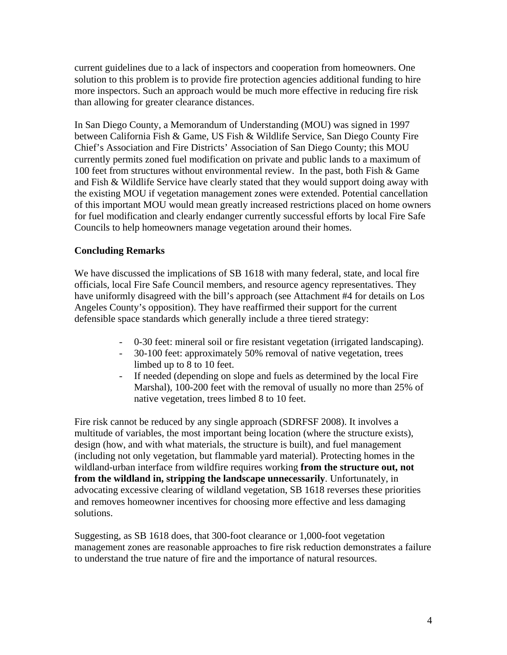current guidelines due to a lack of inspectors and cooperation from homeowners. One solution to this problem is to provide fire protection agencies additional funding to hire more inspectors. Such an approach would be much more effective in reducing fire risk than allowing for greater clearance distances.

In San Diego County, a Memorandum of Understanding (MOU) was signed in 1997 between California Fish & Game, US Fish & Wildlife Service, San Diego County Fire Chief's Association and Fire Districts' Association of San Diego County; this MOU currently permits zoned fuel modification on private and public lands to a maximum of 100 feet from structures without environmental review. In the past, both Fish & Game and Fish & Wildlife Service have clearly stated that they would support doing away with the existing MOU if vegetation management zones were extended. Potential cancellation of this important MOU would mean greatly increased restrictions placed on home owners for fuel modification and clearly endanger currently successful efforts by local Fire Safe Councils to help homeowners manage vegetation around their homes.

# **Concluding Remarks**

We have discussed the implications of SB 1618 with many federal, state, and local fire officials, local Fire Safe Council members, and resource agency representatives. They have uniformly disagreed with the bill's approach (see Attachment #4 for details on Los Angeles County's opposition). They have reaffirmed their support for the current defensible space standards which generally include a three tiered strategy:

- 0-30 feet: mineral soil or fire resistant vegetation (irrigated landscaping).
- 30-100 feet: approximately 50% removal of native vegetation, trees limbed up to 8 to 10 feet.
- If needed (depending on slope and fuels as determined by the local Fire Marshal), 100-200 feet with the removal of usually no more than 25% of native vegetation, trees limbed 8 to 10 feet.

Fire risk cannot be reduced by any single approach (SDRFSF 2008). It involves a multitude of variables, the most important being location (where the structure exists), design (how, and with what materials, the structure is built), and fuel management (including not only vegetation, but flammable yard material). Protecting homes in the wildland-urban interface from wildfire requires working **from the structure out, not from the wildland in, stripping the landscape unnecessarily**. Unfortunately, in advocating excessive clearing of wildland vegetation, SB 1618 reverses these priorities and removes homeowner incentives for choosing more effective and less damaging solutions.

Suggesting, as SB 1618 does, that 300-foot clearance or 1,000-foot vegetation management zones are reasonable approaches to fire risk reduction demonstrates a failure to understand the true nature of fire and the importance of natural resources.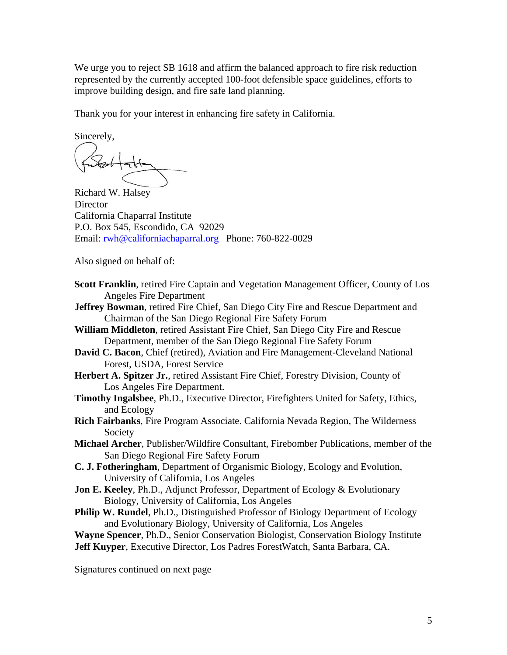We urge you to reject SB 1618 and affirm the balanced approach to fire risk reduction represented by the currently accepted 100-foot defensible space guidelines, efforts to improve building design, and fire safe land planning.

Thank you for your interest in enhancing fire safety in California.

Sincerely,

Richard W. Halsey **Director** California Chaparral Institute P.O. Box 545, Escondido, CA 92029 Email: [rwh@californiachaparral.org](mailto:rwh@californiachaparral.org) Phone: 760-822-0029

Also signed on behalf of:

- **Scott Franklin**, retired Fire Captain and Vegetation Management Officer, County of Los Angeles Fire Department
- **Jeffrey Bowman**, retired Fire Chief, San Diego City Fire and Rescue Department and Chairman of the San Diego Regional Fire Safety Forum
- **William Middleton**, retired Assistant Fire Chief, San Diego City Fire and Rescue Department, member of the San Diego Regional Fire Safety Forum
- **David C. Bacon**, Chief (retired), Aviation and Fire Management-Cleveland National Forest, USDA, Forest Service
- **Herbert A. Spitzer Jr.**, retired Assistant Fire Chief, Forestry Division, County of Los Angeles Fire Department.
- **Timothy Ingalsbee**, Ph.D., Executive Director, Firefighters United for Safety, Ethics, and Ecology
- **Rich Fairbanks**, Fire Program Associate. California Nevada Region, The Wilderness Society
- **Michael Archer**, Publisher/Wildfire Consultant, Firebomber Publications, member of the San Diego Regional Fire Safety Forum
- **C. J. Fotheringham**, Department of Organismic Biology, Ecology and Evolution, University of California, Los Angeles
- **Jon E. Keeley, Ph.D., Adjunct Professor, Department of Ecology & Evolutionary** Biology, University of California, Los Angeles
- **Philip W. Rundel**, Ph.D., Distinguished Professor of Biology Department of Ecology and Evolutionary Biology, University of California, Los Angeles

**Wayne Spencer**, Ph.D., Senior Conservation Biologist, Conservation Biology Institute **Jeff Kuyper**, Executive Director, Los Padres ForestWatch, Santa Barbara, CA.

Signatures continued on next page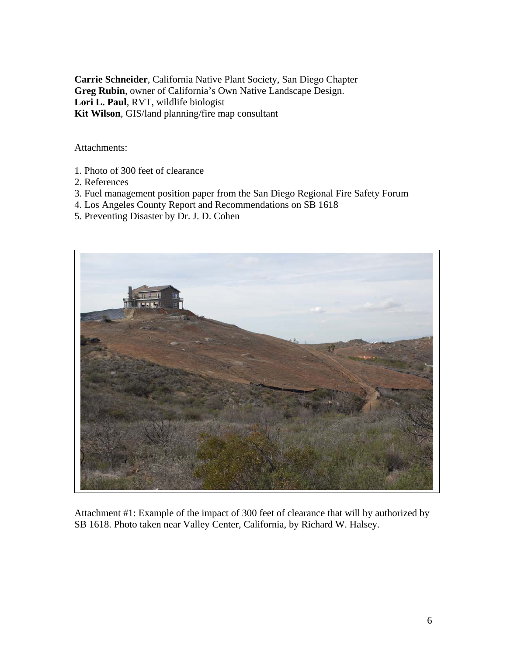**Carrie Schneider**, California Native Plant Society, San Diego Chapter **Greg Rubin**, owner of California's Own Native Landscape Design. **Lori L. Paul**, RVT, wildlife biologist **Kit Wilson**, GIS/land planning/fire map consultant

Attachments:

- 1. Photo of 300 feet of clearance
- 2. References
- 3. Fuel management position paper from the San Diego Regional Fire Safety Forum
- 4. Los Angeles County Report and Recommendations on SB 1618
- 5. Preventing Disaster by Dr. J. D. Cohen



Attachment #1: Example of the impact of 300 feet of clearance that will by authorized by SB 1618. Photo taken near Valley Center, California, by Richard W. Halsey.